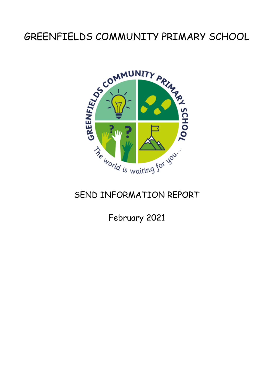# GREENFIELDS COMMUNITY PRIMARY SCHOOL



# SEND INFORMATION REPORT

February 2021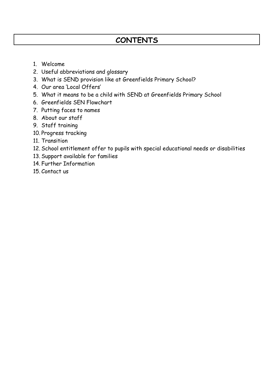# **CONTENTS**

- 1. Welcome
- 2. Useful abbreviations and glossary
- 3. What is SEND provision like at Greenfields Primary School?
- 4. Our area 'Local Offers'
- 5. What it means to be a child with SEND at Greenfields Primary School
- 6. Greenfields SEN Flowchart
- 7. Putting faces to names
- 8. About our staff
- 9. Staff training
- 10. Progress tracking
- 11. Transition
- 12. School entitlement offer to pupils with special educational needs or disabilities
- 13. Support available for families
- 14. Further Information
- 15. Contact us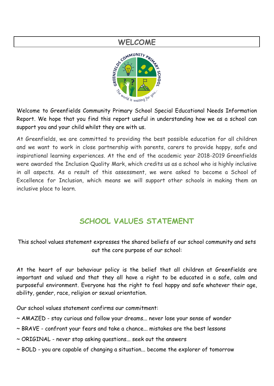

Welcome to Greenfields Community Primary School Special Educational Needs Information Report. We hope that you find this report useful in understanding how we as a school can support you and your child whilst they are with us.

At Greenfields, we are committed to providing the best possible education for all children and we want to work in close partnership with parents, carers to provide happy, safe and inspirational learning experiences. At the end of the academic year 2018-2019 Greenfields were awarded the Inclusion Quality Mark, which credits us as a school who is highly inclusive in all aspects. As a result of this assessment, we were asked to become a School of Excellence for Inclusion, which means we will support other schools in making them an inclusive place to learn.

# **SCHOOL VALUES STATEMENT**

This school values statement expresses the shared beliefs of our school community and sets out the core purpose of our school:

At the heart of our behaviour policy is the belief that all children at Greenfields are important and valued and that they all have a right to be educated in a safe, calm and purposeful environment. Everyone has the right to feel happy and safe whatever their age, ability, gender, race, religion or sexual orientation.

Our school values statement confirms our commitment:

- ~ AMAZED stay curious and follow your dreams... never lose your sense of wonder
- ~ BRAVE confront your fears and take a chance... mistakes are the best lessons
- ~ ORIGINAL never stop asking questions... seek out the answers
- ~ BOLD you are capable of changing a situation... become the explorer of tomorrow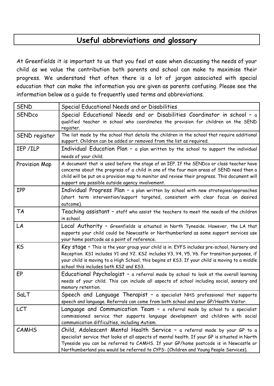# **Useful abbreviations and glossary**

At Greenfields it is important to us that you feel at ease when discussing the needs of your child as we value the contribution both parents and school can make to maximise their progress. We understand that often there is a lot of jargon associated with special education that can make the information you are given as parents confusing. Please see the information below as a guide to frequently used terms and abbreviations.

| <b>SEND</b>   | Special Educational Needs and or Disabilities                                                                                                                                                                                                                                                                                                            |
|---------------|----------------------------------------------------------------------------------------------------------------------------------------------------------------------------------------------------------------------------------------------------------------------------------------------------------------------------------------------------------|
| <b>SENDco</b> | Special Educational Needs and or Disabilities Coordinator in school - a<br>qualified teacher in school who coordinates the provision for children on the SEND<br>register.                                                                                                                                                                               |
| SEND register | The list made by the school that details the children in the school that require additional<br>support. Children can be added or removed from the list as required.                                                                                                                                                                                      |
| IEP/ILP       | Individual Education Plan - a plan written by the school to support the individual<br>needs of your child.                                                                                                                                                                                                                                               |
| Provision Map | A document that is used before the stage of an IEP. If the SENDco or class teacher have<br>concerns about the progress of a child in one of the four main areas of SEND need then a<br>child will be put on a provision map to monitor and review their progress. This document will<br>support any possible outside agency involvement.                 |
| <b>IPP</b>    | Individual Progress Plan - a plan written by school with new strategies/approaches<br>(short term intervention/support targeted, consistent with clear focus on desired<br>outcome).                                                                                                                                                                     |
| <b>TA</b>     | Teaching assistant - staff who assist the teachers to meet the needs of the children<br>in school.                                                                                                                                                                                                                                                       |
| LA            | Local Authority - Greenfields is situated in North Tyneside. However, the LA that<br>supports your child could be Newcastle or Northumberland as some support services use<br>your home postcode as a point of reference.                                                                                                                                |
| <b>KS</b>     | Key stage - This is the year group your child is in. EYFS includes pre-school, Nursery and<br>Reception. KS1 includes Y1 and Y2. KS2 includes Y3, Y4, Y5, Y6. For transition purposes, if<br>your child is moving to a High School, this begins at KS3. If your child is moving to a middle<br>school this includes both KS2 and KS3.                    |
| EP            | Educational Psychologist - a referral made by school to look at the overall learning<br>needs of your child. This can include all aspects of school including social, sensory and<br>memory retention.                                                                                                                                                   |
| SaLT          | Speech and Language Therapist - a specialist NHS professional that supports<br>speech and language. Referrals can come from both school and your GP/Health Visitor.                                                                                                                                                                                      |
| LCT           | Language and Communication Team - a referral made by school to a specialist<br>commissioned service that supports language development and children with social<br>communication difficulties, including Autism.                                                                                                                                         |
| <b>CAMHS</b>  | Child, Adolescent Mental Health Service - a referral made by your GP to a<br>specialist service that looks at all aspects of mental health. If your GP is situated in North<br>Tyneside you can be referred to CAMHS. If your GP/home postcode is in Newcastle or<br>Northumberland you would be referred to CYPS- (Children and Young People Services). |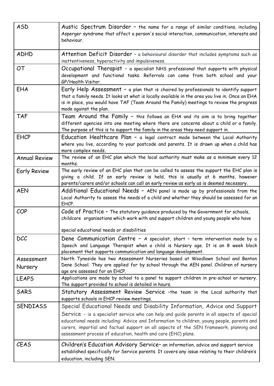| <b>ASD</b>            | Austic Spectrum Disorder - the name for a range of similar conditions, including<br>Asperger syndrome that affect a person's social interaction, communication, interests and<br>behaviour.                                                                                                                                                                                                                                      |
|-----------------------|----------------------------------------------------------------------------------------------------------------------------------------------------------------------------------------------------------------------------------------------------------------------------------------------------------------------------------------------------------------------------------------------------------------------------------|
| <b>ADHD</b>           | Attention Deficit Disorder - a behavioural disorder that includes symptoms such as<br>inattentiveness, hyperactivity and impulsiveness.                                                                                                                                                                                                                                                                                          |
| <b>OT</b>             | Occupational Therapist - a specialist NHS professional that supports with physical<br>development and functional tasks. Referrals can come from both school and your<br>GP/Health Visitor.                                                                                                                                                                                                                                       |
| EHA                   | Early Help Assessment - a plan that is chaired by professionals to identify support<br>that a family needs. It looks at what is locally available in the area you live in. Once an EHA<br>is in place, you would have TAF (Team Around the Family) meetings to review the progress<br>made against the plan.                                                                                                                     |
| <b>TAF</b>            | Team Around the Family - this follows an EHA and its aim is to bring together<br>different agencies into one meeting where there are concerns about a child or a family.<br>The purpose of this is to support the family in the areas they need support in.                                                                                                                                                                      |
| <b>EHCP</b>           | Education Healthcare Plan - a legal contract made between the Local Authority<br>where you live, according to your postcode and parents. It is drawn up when a child has<br>more complex needs.                                                                                                                                                                                                                                  |
| <b>Annual Review</b>  | The review of an EHC plan which the local authority must make as a minimum every 12<br>months.                                                                                                                                                                                                                                                                                                                                   |
| <b>Early Review</b>   | The early review of an EHC plan that can be called to assess the support the EHC plan is<br>giving a child. If an early review is held, this is usually at 6 months, however<br>parents/carers and/or schools can call an early review as early as is deemed necessary.                                                                                                                                                          |
| <b>AEN</b>            | Additional Educational Needs - AEN panel is made up by professionals from the<br>Local Authority to assess the needs of a child and whether they should be assessed for an<br>EHCP.                                                                                                                                                                                                                                              |
| COP                   | Code of Practice - The statutory guidance produced by the Government for schools,<br>childcare organisations which work with and support children and young people who have<br>special educational needs or disabilities                                                                                                                                                                                                         |
| <b>DCC</b>            | Dene Communication Centre - A specialist, short - term intervention made by a<br>Speech and Language Therapist when a child is Nursery age. It is an 8 week block<br>placement that supports communication and language development.                                                                                                                                                                                             |
| Assessment<br>Nursery | North Tyneside has two Assessment Nurseries based at Woodlawn School and Benton<br>Dene School. They are applied for by school through the AEN panel. Children of nursery<br>age are assessed for an EHCP.                                                                                                                                                                                                                       |
| <b>LEAPS</b>          | Applications are made by school to a panel to support children in pre-school or nursery.<br>The support provided to school is detailed in hours.                                                                                                                                                                                                                                                                                 |
| <b>SARS</b>           | Statutory Assessment Review Service -the team in the Local authority that<br>supports schools in EHCP review meetings.                                                                                                                                                                                                                                                                                                           |
| <b>SENDIASS</b>       | Special Educational Needs and Disability Information, Advice and Support<br>Service - is a specialist service who can help and guide parents in all aspects of special<br>educational needs including: Advice and Information to children, young people, parents and<br>carers, impartial and factual support on all aspects of the SEN framework, planning and<br>assessment process of education, health and care (EHC) plans. |
| <b>CEAS</b>           | Children's Education Advisory Service- an information, advice and support service<br>established specifically for Service parents. It covers any issue relating to their children's<br>education, including SEN.                                                                                                                                                                                                                 |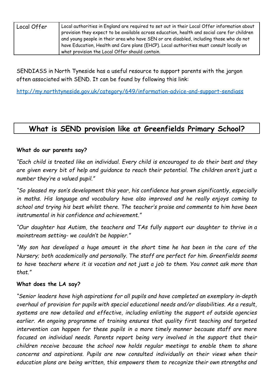| Local Offer | Local authorities in England are required to set out in their Local Offer information about<br>provision they expect to be available across education, health and social care for children<br>and young people in their area who have SEN or are disabled, including those who do not<br>have Education, Health and Care plans (EHCP). Local authorities must consult locally on |
|-------------|----------------------------------------------------------------------------------------------------------------------------------------------------------------------------------------------------------------------------------------------------------------------------------------------------------------------------------------------------------------------------------|
|             | what provision the Local Offer should contain.                                                                                                                                                                                                                                                                                                                                   |

SENDIASS in North Tyneside has a useful resource to support parents with the jargon often associated with SEND. It can be found by following this link:

<http://my.northtyneside.gov.uk/category/649/information-advice-and-support-sendiass>

# **What is SEND provision like at Greenfields Primary School?**

### **What do our parents say?**

*"Each child is treated like an individual. Every child is encouraged to do their best and they are given every bit of help and guidance to reach their potential. The children aren't just a number they're a valued pupil."*

*"So pleased my son's development this year, his confidence has grown significantly, especially in maths. His language and vocabulary have also improved and he really enjoys coming to school and trying his best whilst there. The teacher's praise and comments to him have been instrumental in his confidence and achievement."*

*"Our daughter has Autism, the teachers and TAs fully support our daughter to thrive in a mainstream setting- we couldn't be happier."*

*"My son has developed a huge amount in the short time he has been in the care of the Nursery; both academically and personally. The staff are perfect for him. Greenfields seems to have teachers where it is vocation and not just a job to them. You cannot ask more than that."*

#### **What does the LA say?**

*"Senior leaders have high aspirations for all pupils and have completed an exemplary in-depth overhaul of provision for pupils with special educational needs and/or disabilities. As a result, systems are now detailed and effective, including enlisting the support of outside agencies earlier. An ongoing programme of training ensures that quality first teaching and targeted intervention can happen for these pupils in a more timely manner because staff are more focused on individual needs. Parents report being very involved in the support that their children receive because the school now holds regular meetings to enable them to share concerns and aspirations. Pupils are now consulted individually on their views when their education plans are being written, this empowers them to recognize their own strengths and*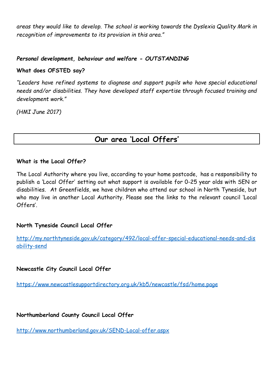*areas they would like to develop. The school is working towards the Dyslexia Quality Mark in recognition of improvements to its provision in this area."*

#### *Personal development, behaviour and welfare - OUTSTANDING*

#### **What does OFSTED say?**

*"Leaders have refined systems to diagnose and support pupils who have special educational needs and/or disabilities. They have developed staff expertise through focused training and development work."*

*(HMI June 2017)*

### **Our area 'Local Offers'**

#### **What is the Local Offer?**

The Local Authority where you live, according to your home postcode, has a responsibility to publish a 'Local Offer' setting out what support is available for 0-25 year olds with SEN or disabilities. At Greenfields, we have children who attend our school in North Tyneside, but who may live in another Local Authority. Please see the links to the relevant council 'Local Offers'.

### **North Tyneside Council Local Offer**

[http://my.northtyneside.gov.uk/category/492/local-offer-special-educational-needs-and-dis](http://my.northtyneside.gov.uk/category/492/local-offer-special-educational-needs-and-disability-send) [ability-send](http://my.northtyneside.gov.uk/category/492/local-offer-special-educational-needs-and-disability-send)

**Newcastle City Council Local Offer**

<https://www.newcastlesupportdirectory.org.uk/kb5/newcastle/fsd/home.page>

### **Northumberland County Council Local Offer**

<http://www.northumberland.gov.uk/SEND-Local-offer.aspx>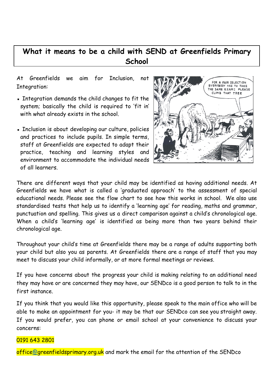# **What it means to be a child with SEND at Greenfields Primary School**

At Greenfields we aim for Inclusion, not Integration:

- Integration demands the child changes to fit the system; basically the child is required to 'fit in' with what already exists in the school.
- **EXECT** Inclusion is about developing our culture, policies and practices to include pupils. In simple terms, staff at Greenfields are expected to adapt their practice, teaching and learning styles and environment to accommodate the individual needs of all learners.



There are different ways that your child may be identified as having additional needs. At Greenfields we have what is called a 'graduated approach' to the assessment of special educational needs. Please see the flow chart to see how this works in school. We also use standardised tests that help us to identify a 'learning age' for reading, maths and grammar, punctuation and spelling. This gives us a direct comparison against a child's chronological age. When a child's 'learning age' is identified as being more than two years behind their chronological age.

Throughout your child's time at Greenfields there may be a range of adults supporting both your child but also you as parents. At Greenfields there are a range of staff that you may meet to discuss your child informally, or at more formal meetings or reviews.

If you have concerns about the progress your child is making relating to an additional need they may have or are concerned they may have, our SENDco is a good person to talk to in the first instance.

If you think that you would like this opportunity, please speak to the main office who will be able to make an appointment for you- it may be that our SENDco can see you straight away. If you would prefer, you can phone or email school at your convenience to discuss your concerns:

### 0191 643 2801

office[@g](mailto:greenfieldscommunity.primary@northtyneside.gov.uk)reenfieldsprimary.org.uk and mark the email for the attention of the SENDco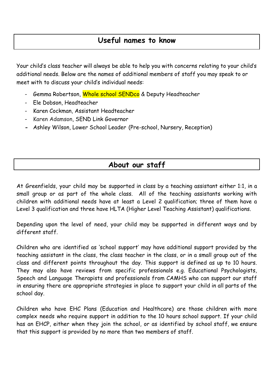## **Useful names to know**

Your child's class teacher will always be able to help you with concerns relating to your child's additional needs. Below are the names of additional members of staff you may speak to or meet with to discuss your child's individual needs:

- Gemma Robertson, Whole school SENDco & Deputy Headteacher
- Ele Dobson, Headteacher
- Karen Cockman, Assistant Headteacher
- Karen Adamson, SEND Link Governor
- **-** Ashley Wilson, Lower School Leader (Pre-school, Nursery, Reception)

### **About our staff**

At Greenfields, your child may be supported in class by a teaching assistant either 1:1, in a small group or as part of the whole class. All of the teaching assistants working with children with additional needs have at least a Level 2 qualification; three of them have a Level 3 qualification and three have HLTA (Higher Level Teaching Assistant) qualifications.

Depending upon the level of need, your child may be supported in different ways and by different staff.

Children who are identified as 'school support' may have additional support provided by the teaching assistant in the class, the class teacher in the class, or in a small group out of the class and different points throughout the day. This support is defined as up to 10 hours. They may also have reviews from specific professionals e.g. Educational Psychologists, Speech and Language Therapists and professionals from CAMHS who can support our staff in ensuring there are appropriate strategies in place to support your child in all parts of the school day.

Children who have EHC Plans (Education and Healthcare) are those children with more complex needs who require support in addition to the 10 hours school support. If your child has an EHCP, either when they join the school, or as identified by school staff, we ensure that this support is provided by no more than two members of staff.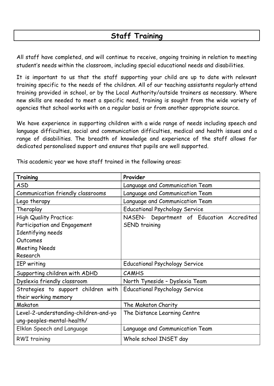# **Staff Training**

All staff have completed, and will continue to receive, ongoing training in relation to meeting student's needs within the classroom, including special educational needs and disabilities.

It is important to us that the staff supporting your child are up to date with relevant training specific to the needs of the children. All of our teaching assistants regularly attend training provided in school, or by the Local Authority/outside trainers as necessary. Where new skills are needed to meet a specific need, training is sought from the wide variety of agencies that school works with on a regular basis or from another appropriate source.

We have experience in supporting children with a wide range of needs including speech and language difficulties, social and communication difficulties, medical and health issues and a range of disabilities. The breadth of knowledge and experience of the staff allows for dedicated personalised support and ensures that pupils are well supported.

| Training                              | Provider                                  |
|---------------------------------------|-------------------------------------------|
| <b>ASD</b>                            | Language and Communication Team           |
| Communication friendly classrooms     | Language and Communication Team           |
| Lego therapy                          | Language and Communication Team           |
| Theraplay                             | <b>Educational Psychology Service</b>     |
| <b>High Quality Practice:</b>         | NASEN- Department of Education Accredited |
| Participation and Engagement          | SEND training                             |
| Identifying needs                     |                                           |
| Outcomes                              |                                           |
| <b>Meeting Needs</b>                  |                                           |
| Research                              |                                           |
| <b>IEP</b> writing                    | <b>Educational Psychology Service</b>     |
| Supporting children with ADHD         | <b>CAMHS</b>                              |
| Dyslexia friendly classroom           | North Tyneside - Dyslexia Team            |
| Strategies to support children with   | <b>Educational Psychology Service</b>     |
| their working memory                  |                                           |
| Makaton                               | The Makaton Charity                       |
| Level-2-understanding-children-and-yo | The Distance Learning Centre              |
| ung-peoples-mental-health/            |                                           |
| Elklan Speech and Language            | Language and Communication Team           |
| <b>RWI</b> training                   | Whole school INSET day                    |

This academic year we have staff trained in the following areas: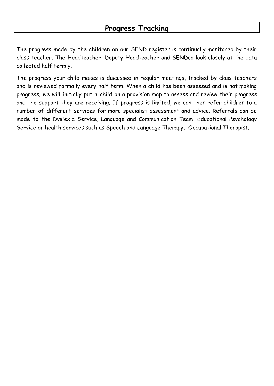### **Progress Tracking**

The progress made by the children on our SEND register is continually monitored by their class teacher. The Headteacher, Deputy Headteacher and SENDco look closely at the data collected half termly.

The progress your child makes is discussed in regular meetings, tracked by class teachers and is reviewed formally every half term. When a child has been assessed and is not making progress, we will initially put a child on a provision map to assess and review their progress and the support they are receiving. If progress is limited, we can then refer children to a number of different services for more specialist assessment and advice. Referrals can be made to the Dyslexia Service, Language and Communication Team, Educational Psychology Service or health services such as Speech and Language Therapy, Occupational Therapist.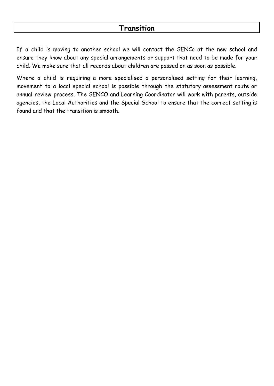If a child is moving to another school we will contact the SENCo at the new school and ensure they know about any special arrangements or support that need to be made for your child. We make sure that all records about children are passed on as soon as possible.

Where a child is requiring a more specialised a personalised setting for their learning, movement to a local special school is possible through the statutory assessment route or annual review process. The SENCO and Learning Coordinator will work with parents, outside agencies, the Local Authorities and the Special School to ensure that the correct setting is found and that the transition is smooth.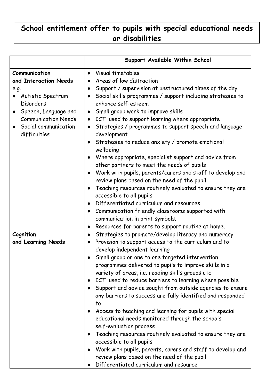# **School entitlement offer to pupils with special educational needs or disabilities**

| Support Available Within School                                                                                                                                                                                                                                                                                                                                                                                                                                                                                                                                                                                                                                                                                                                                                                                                                                                                                                                                                                        |
|--------------------------------------------------------------------------------------------------------------------------------------------------------------------------------------------------------------------------------------------------------------------------------------------------------------------------------------------------------------------------------------------------------------------------------------------------------------------------------------------------------------------------------------------------------------------------------------------------------------------------------------------------------------------------------------------------------------------------------------------------------------------------------------------------------------------------------------------------------------------------------------------------------------------------------------------------------------------------------------------------------|
| Visual timetables<br>$\bullet$<br>Areas of low distraction<br>$\bullet$<br>Support / supervision at unstructured times of the day<br>$\bullet$<br>Social skills programmes / support including strategies to<br>$\bullet$<br>enhance self-esteem<br>Small group work to improve skills<br>$\bullet$<br>ICT used to support learning where appropriate<br>$\bullet$<br>Strategies / programmes to support speech and language<br>$\bullet$<br>development<br>Strategies to reduce anxiety / promote emotional<br>$\bullet$<br>wellbeing<br>Where appropriate, specialist support and advice from<br>$\bullet$<br>other partners to meet the needs of pupils<br>Work with pupils, parents/carers and staff to develop and<br>$\bullet$<br>review plans based on the need of the pupil<br>Teaching resources routinely evaluated to ensure they are<br>$\bullet$<br>accessible to all pupils<br>Differentiated curriculum and resources<br>$\bullet$                                                      |
| Communication friendly classrooms supported with<br>$\bullet$<br>communication in print symbols.                                                                                                                                                                                                                                                                                                                                                                                                                                                                                                                                                                                                                                                                                                                                                                                                                                                                                                       |
| Resources for parents to support routine at home.<br>$\bullet$<br>Strategies to promote/develop literacy and numeracy<br>$\bullet$<br>Provision to support access to the curriculum and to<br>$\bullet$<br>develop independent learning<br>Small group or one to one targeted intervention<br>programmes delivered to pupils to improve skills in a<br>variety of areas, i.e. reading skills groups etc<br>ICT used to reduce barriers to learning where possible<br>$\bullet$<br>Support and advice sought from outside agencies to ensure<br>$\bullet$<br>any barriers to success are fully identified and responded<br>to.<br>Access to teaching and learning for pupils with special<br>educational needs monitored through the schools<br>self-evaluation process<br>Teaching resources routinely evaluated to ensure they are<br>$\bullet$<br>accessible to all pupils<br>Work with pupils, parents, carers and staff to develop and<br>$\bullet$<br>review plans based on the need of the pupil |
|                                                                                                                                                                                                                                                                                                                                                                                                                                                                                                                                                                                                                                                                                                                                                                                                                                                                                                                                                                                                        |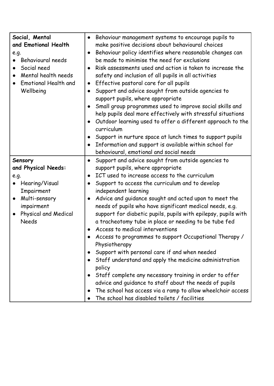| Social, Mental<br>and Emotional Health<br>e.g.<br>Behavioural needs<br>Social need<br>Mental health needs<br><b>Emotional Health and</b><br>Wellbeing | Behaviour management systems to encourage pupils to<br>$\bullet$<br>make positive decisions about behavioural choices<br>Behaviour policy identifies where reasonable changes can<br>$\bullet$<br>be made to minimise the need for exclusions<br>Risk assessments used and action is taken to increase the<br>$\bullet$<br>safety and inclusion of all pupils in all activities<br>Effective pastoral care for all pupils<br>$\bullet$<br>Support and advice sought from outside agencies to<br>$\bullet$<br>support pupils, where appropriate<br>Small group programmes used to improve social skills and<br>$\bullet$<br>help pupils deal more effectively with stressful situations<br>Outdoor learning used to offer a different approach to the<br>$\bullet$<br>curriculum<br>Support in nurture space at lunch times to support pupils<br>$\bullet$<br>Information and support is available within school for<br>$\bullet$<br>behavioural, emotional and social needs |
|-------------------------------------------------------------------------------------------------------------------------------------------------------|-----------------------------------------------------------------------------------------------------------------------------------------------------------------------------------------------------------------------------------------------------------------------------------------------------------------------------------------------------------------------------------------------------------------------------------------------------------------------------------------------------------------------------------------------------------------------------------------------------------------------------------------------------------------------------------------------------------------------------------------------------------------------------------------------------------------------------------------------------------------------------------------------------------------------------------------------------------------------------|
| Sensory                                                                                                                                               | Support and advice sought from outside agencies to<br>$\bullet$                                                                                                                                                                                                                                                                                                                                                                                                                                                                                                                                                                                                                                                                                                                                                                                                                                                                                                             |
| and Physical Needs:                                                                                                                                   | support pupils, where appropriate                                                                                                                                                                                                                                                                                                                                                                                                                                                                                                                                                                                                                                                                                                                                                                                                                                                                                                                                           |
| e.g.                                                                                                                                                  | ICT used to increase access to the curriculum<br>$\bullet$                                                                                                                                                                                                                                                                                                                                                                                                                                                                                                                                                                                                                                                                                                                                                                                                                                                                                                                  |
| Hearing/Visual                                                                                                                                        | Support to access the curriculum and to develop<br>$\bullet$                                                                                                                                                                                                                                                                                                                                                                                                                                                                                                                                                                                                                                                                                                                                                                                                                                                                                                                |
| Impairment                                                                                                                                            | independent learning                                                                                                                                                                                                                                                                                                                                                                                                                                                                                                                                                                                                                                                                                                                                                                                                                                                                                                                                                        |
| Multi-sensory                                                                                                                                         | Advice and guidance sought and acted upon to meet the<br>$\bullet$                                                                                                                                                                                                                                                                                                                                                                                                                                                                                                                                                                                                                                                                                                                                                                                                                                                                                                          |
| impairment                                                                                                                                            | needs of pupils who have significant medical needs, e.g.                                                                                                                                                                                                                                                                                                                                                                                                                                                                                                                                                                                                                                                                                                                                                                                                                                                                                                                    |
| Physical and Medical                                                                                                                                  | support for diabetic pupils, pupils with epilepsy, pupils with                                                                                                                                                                                                                                                                                                                                                                                                                                                                                                                                                                                                                                                                                                                                                                                                                                                                                                              |
| <b>Needs</b>                                                                                                                                          | a tracheotomy tube in place or needing to be tube fed                                                                                                                                                                                                                                                                                                                                                                                                                                                                                                                                                                                                                                                                                                                                                                                                                                                                                                                       |
|                                                                                                                                                       | Access to medical interventions                                                                                                                                                                                                                                                                                                                                                                                                                                                                                                                                                                                                                                                                                                                                                                                                                                                                                                                                             |
|                                                                                                                                                       | Access to programmes to support Occupational Therapy /                                                                                                                                                                                                                                                                                                                                                                                                                                                                                                                                                                                                                                                                                                                                                                                                                                                                                                                      |
|                                                                                                                                                       | Physiotherapy                                                                                                                                                                                                                                                                                                                                                                                                                                                                                                                                                                                                                                                                                                                                                                                                                                                                                                                                                               |
|                                                                                                                                                       | Support with personal care if and when needed<br>$\bullet$                                                                                                                                                                                                                                                                                                                                                                                                                                                                                                                                                                                                                                                                                                                                                                                                                                                                                                                  |
|                                                                                                                                                       | Staff understand and apply the medicine administration                                                                                                                                                                                                                                                                                                                                                                                                                                                                                                                                                                                                                                                                                                                                                                                                                                                                                                                      |
|                                                                                                                                                       | policy                                                                                                                                                                                                                                                                                                                                                                                                                                                                                                                                                                                                                                                                                                                                                                                                                                                                                                                                                                      |
|                                                                                                                                                       | Staff complete any necessary training in order to offer                                                                                                                                                                                                                                                                                                                                                                                                                                                                                                                                                                                                                                                                                                                                                                                                                                                                                                                     |
|                                                                                                                                                       | advice and guidance to staff about the needs of pupils                                                                                                                                                                                                                                                                                                                                                                                                                                                                                                                                                                                                                                                                                                                                                                                                                                                                                                                      |
|                                                                                                                                                       | The school has access via a ramp to allow wheelchair access                                                                                                                                                                                                                                                                                                                                                                                                                                                                                                                                                                                                                                                                                                                                                                                                                                                                                                                 |
|                                                                                                                                                       | The school has disabled toilets / facilities                                                                                                                                                                                                                                                                                                                                                                                                                                                                                                                                                                                                                                                                                                                                                                                                                                                                                                                                |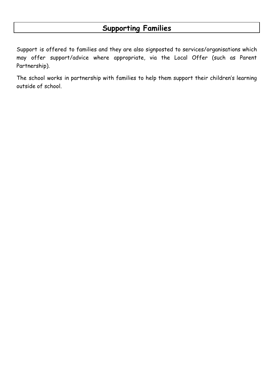Support is offered to families and they are also signposted to services/organisations which may offer support/advice where appropriate, via the Local Offer (such as Parent Partnership).

The school works in partnership with families to help them support their children's learning outside of school.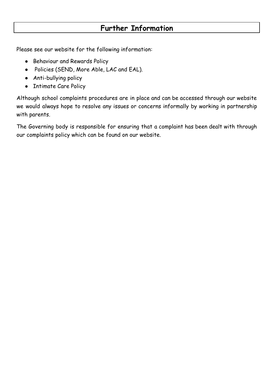# **Further Information**

Please see our website for the following information:

- Behaviour and Rewards Policy
- Policies (SEND, More Able, LAC and EAL).
- Anti-bullying policy
- Intimate Care Policy

Although school complaints procedures are in place and can be accessed through our website we would always hope to resolve any issues or concerns informally by working in partnership with parents.

The Governing body is responsible for ensuring that a complaint has been dealt with through our complaints policy which can be found on our website.